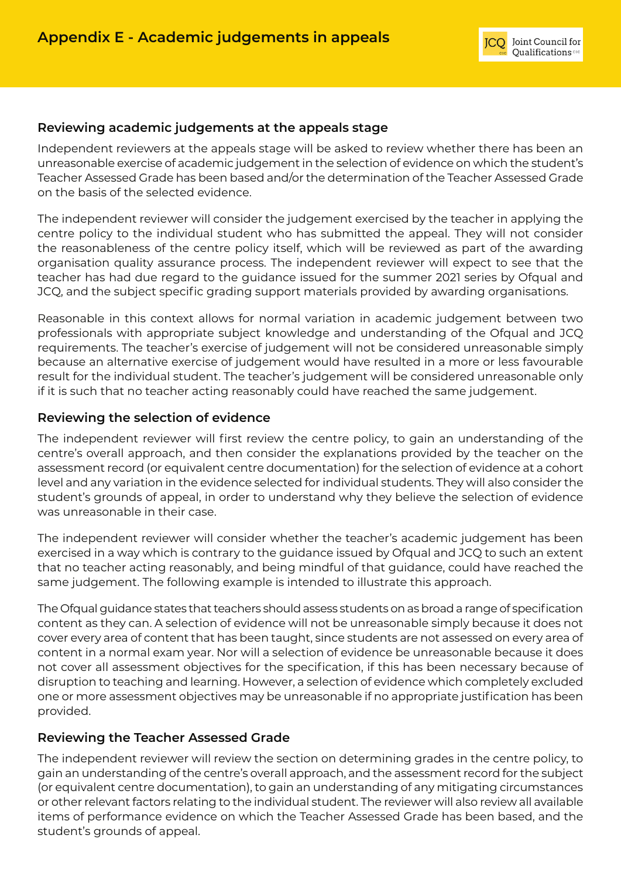## **Reviewing academic judgements at the appeals stage**

Independent reviewers at the appeals stage will be asked to review whether there has been an unreasonable exercise of academic judgement in the selection of evidence on which the student's Teacher Assessed Grade has been based and/or the determination of the Teacher Assessed Grade on the basis of the selected evidence.

The independent reviewer will consider the judgement exercised by the teacher in applying the centre policy to the individual student who has submitted the appeal. They will not consider the reasonableness of the centre policy itself, which will be reviewed as part of the awarding organisation quality assurance process. The independent reviewer will expect to see that the teacher has had due regard to the guidance issued for the summer 2021 series by Ofqual and JCQ, and the subject specific grading support materials provided by awarding organisations.

Reasonable in this context allows for normal variation in academic judgement between two professionals with appropriate subject knowledge and understanding of the Ofqual and JCQ requirements. The teacher's exercise of judgement will not be considered unreasonable simply because an alternative exercise of judgement would have resulted in a more or less favourable result for the individual student. The teacher's judgement will be considered unreasonable only if it is such that no teacher acting reasonably could have reached the same judgement.

## **Reviewing the selection of evidence**

The independent reviewer will first review the centre policy, to gain an understanding of the centre's overall approach, and then consider the explanations provided by the teacher on the assessment record (or equivalent centre documentation) for the selection of evidence at a cohort level and any variation in the evidence selected for individual students. They will also consider the student's grounds of appeal, in order to understand why they believe the selection of evidence was unreasonable in their case.

The independent reviewer will consider whether the teacher's academic judgement has been exercised in a way which is contrary to the guidance issued by Ofqual and JCQ to such an extent that no teacher acting reasonably, and being mindful of that guidance, could have reached the same judgement. The following example is intended to illustrate this approach.

The Ofqual guidance states that teachers should assess students on as broad a range of specification content as they can. A selection of evidence will not be unreasonable simply because it does not cover every area of content that has been taught, since students are not assessed on every area of content in a normal exam year. Nor will a selection of evidence be unreasonable because it does not cover all assessment objectives for the specification, if this has been necessary because of disruption to teaching and learning. However, a selection of evidence which completely excluded one or more assessment objectives may be unreasonable if no appropriate justification has been provided.

## **Reviewing the Teacher Assessed Grade**

The independent reviewer will review the section on determining grades in the centre policy, to gain an understanding of the centre's overall approach, and the assessment record for the subject (or equivalent centre documentation), to gain an understanding of any mitigating circumstances or other relevant factors relating to the individual student. The reviewer will also review all available items of performance evidence on which the Teacher Assessed Grade has been based, and the student's grounds of appeal.